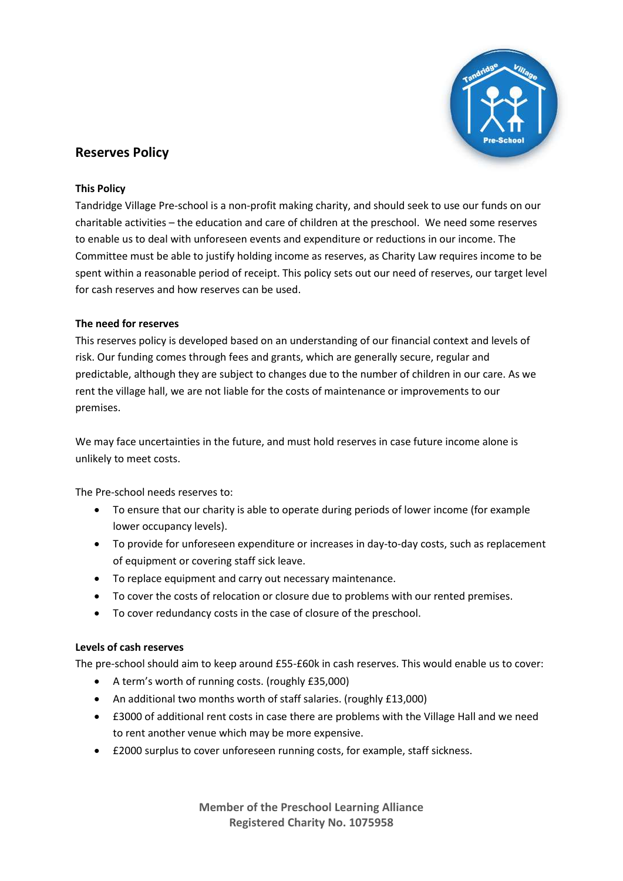

# **Reserves Policy**

## **This Policy**

Tandridge Village Pre-school is a non-profit making charity, and should seek to use our funds on our charitable activities – the education and care of children at the preschool. We need some reserves to enable us to deal with unforeseen events and expenditure or reductions in our income. The Committee must be able to justify holding income as reserves, as Charity Law requires income to be spent within a reasonable period of receipt. This policy sets out our need of reserves, our target level for cash reserves and how reserves can be used.

## **The need for reserves**

This reserves policy is developed based on an understanding of our financial context and levels of risk. Our funding comes through fees and grants, which are generally secure, regular and predictable, although they are subject to changes due to the number of children in our care. As we rent the village hall, we are not liable for the costs of maintenance or improvements to our premises.

We may face uncertainties in the future, and must hold reserves in case future income alone is unlikely to meet costs.

The Pre-school needs reserves to:

- To ensure that our charity is able to operate during periods of lower income (for example lower occupancy levels).
- To provide for unforeseen expenditure or increases in day-to-day costs, such as replacement of equipment or covering staff sick leave.
- To replace equipment and carry out necessary maintenance.
- To cover the costs of relocation or closure due to problems with our rented premises.
- To cover redundancy costs in the case of closure of the preschool.

#### **Levels of cash reserves**

The pre-school should aim to keep around £55-£60k in cash reserves. This would enable us to cover:

- A term's worth of running costs. (roughly £35,000)
- An additional two months worth of staff salaries. (roughly £13,000)
- £3000 of additional rent costs in case there are problems with the Village Hall and we need to rent another venue which may be more expensive.
- £2000 surplus to cover unforeseen running costs, for example, staff sickness.

**Member of the Preschool Learning Alliance Registered Charity No. 1075958**